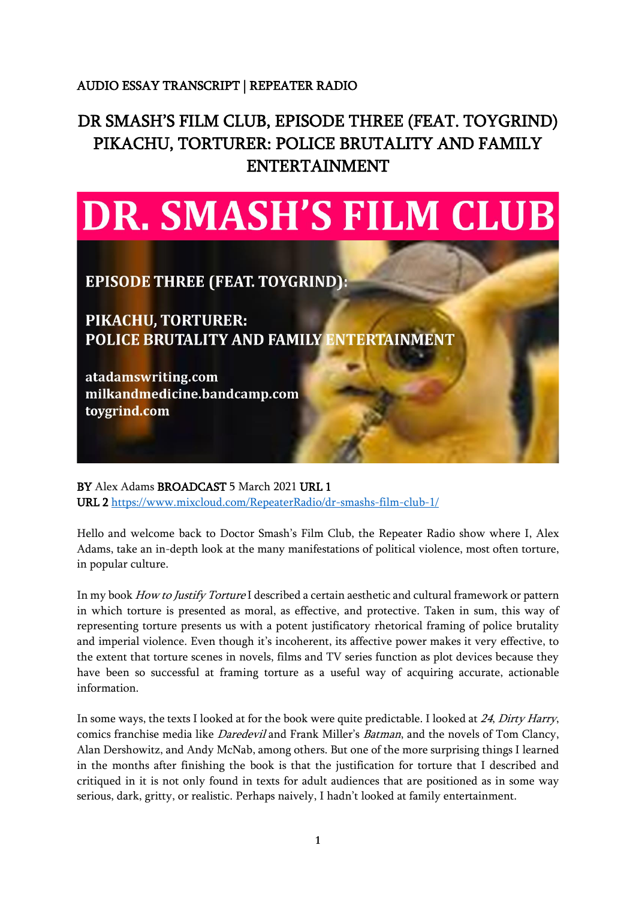## AUDIO ESSAY TRANSCRIPT | REPEATER RADIO

## DR SMASH'S FILM CLUB, EPISODE THREE (FEAT. TOYGRIND) PIKACHU, TORTURER: POLICE BRUTALITY AND FAMILY ENTERTAINMENT



**EPISODE THREE (FEAT. TOYGRIND):** 

**PIKACHU, TORTURER: POLICE BRUTALITY AND FAMILY ENTERTAINMENT** 

atadamswriting.com milkandmedicine.bandcamp.com toygrind.com

BY Alex Adams BROADCAST 5 March 2021 URL 1 URL 2 <https://www.mixcloud.com/RepeaterRadio/dr-smashs-film-club-1/>

Hello and welcome back to Doctor Smash's Film Club, the Repeater Radio show where I, Alex Adams, take an in-depth look at the many manifestations of political violence, most often torture, in popular culture.

In my book How to Justify Torture I described a certain aesthetic and cultural framework or pattern in which torture is presented as moral, as effective, and protective. Taken in sum, this way of representing torture presents us with a potent justificatory rhetorical framing of police brutality and imperial violence. Even though it's incoherent, its affective power makes it very effective, to the extent that torture scenes in novels, films and TV series function as plot devices because they have been so successful at framing torture as a useful way of acquiring accurate, actionable information.

In some ways, the texts I looked at for the book were quite predictable. I looked at <sup>24</sup>, Dirty Harry, comics franchise media like Daredevil and Frank Miller's Batman, and the novels of Tom Clancy, Alan Dershowitz, and Andy McNab, among others. But one of the more surprising things I learned in the months after finishing the book is that the justification for torture that I described and critiqued in it is not only found in texts for adult audiences that are positioned as in some way serious, dark, gritty, or realistic. Perhaps naively, I hadn't looked at family entertainment.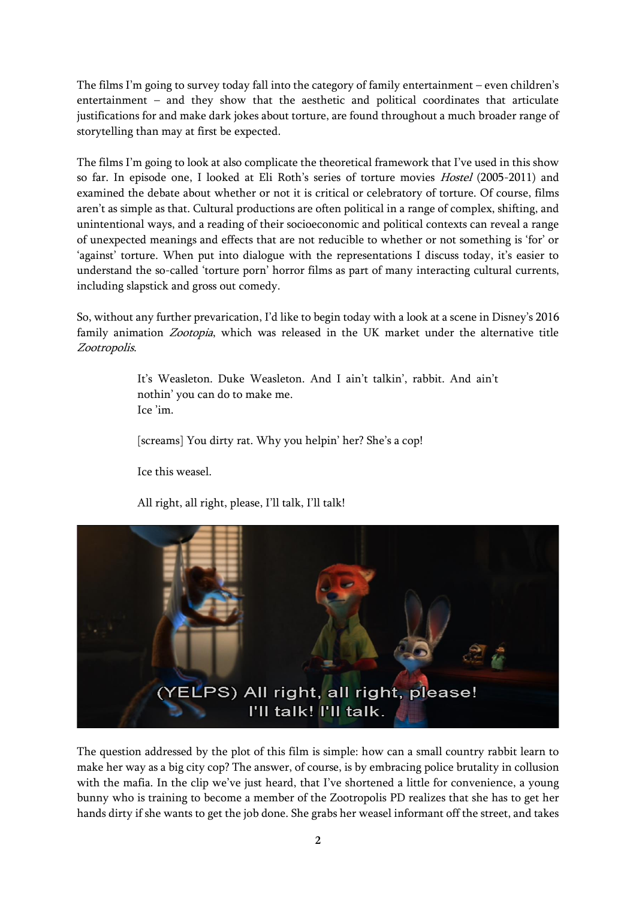The films I'm going to survey today fall into the category of family entertainment – even children's entertainment – and they show that the aesthetic and political coordinates that articulate justifications for and make dark jokes about torture, are found throughout a much broader range of storytelling than may at first be expected.

The films I'm going to look at also complicate the theoretical framework that I've used in this show so far. In episode one, I looked at Eli Roth's series of torture movies Hostel (2005-2011) and examined the debate about whether or not it is critical or celebratory of torture. Of course, films aren't as simple as that. Cultural productions are often political in a range of complex, shifting, and unintentional ways, and a reading of their socioeconomic and political contexts can reveal a range of unexpected meanings and effects that are not reducible to whether or not something is 'for' or 'against' torture. When put into dialogue with the representations I discuss today, it's easier to understand the so-called 'torture porn' horror films as part of many interacting cultural currents, including slapstick and gross out comedy.

So, without any further prevarication, I'd like to begin today with a look at a scene in Disney's 2016 family animation Zootopia, which was released in the UK market under the alternative title Zootropolis.

> It's Weasleton. Duke Weasleton. And I ain't talkin', rabbit. And ain't nothin' you can do to make me. Ice 'im.

[screams] You dirty rat. Why you helpin' her? She's a cop!

Ice this weasel.

All right, all right, please, I'll talk, I'll talk!



The question addressed by the plot of this film is simple: how can a small country rabbit learn to make her way as a big city cop? The answer, of course, is by embracing police brutality in collusion with the mafia. In the clip we've just heard, that I've shortened a little for convenience, a young bunny who is training to become a member of the Zootropolis PD realizes that she has to get her hands dirty if she wants to get the job done. She grabs her weasel informant off the street, and takes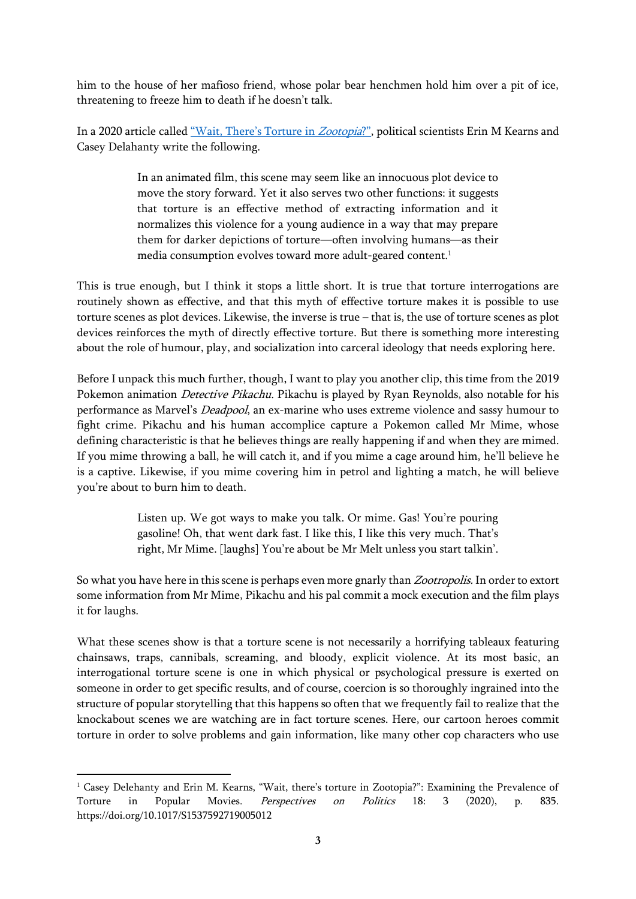him to the house of her mafioso friend, whose polar bear henchmen hold him over a pit of ice, threatening to freeze him to death if he doesn't talk.

In a 2020 article called ["Wait, There's Torture in](https://doi.org/10.1017/S1537592719005012) Zootopia?", political scientists Erin M Kearns and Casey Delahanty write the following.

> In an animated film, this scene may seem like an innocuous plot device to move the story forward. Yet it also serves two other functions: it suggests that torture is an effective method of extracting information and it normalizes this violence for a young audience in a way that may prepare them for darker depictions of torture—often involving humans—as their media consumption evolves toward more adult-geared content.<sup>1</sup>

This is true enough, but I think it stops a little short. It is true that torture interrogations are routinely shown as effective, and that this myth of effective torture makes it is possible to use torture scenes as plot devices. Likewise, the inverse is true – that is, the use of torture scenes as plot devices reinforces the myth of directly effective torture. But there is something more interesting about the role of humour, play, and socialization into carceral ideology that needs exploring here.

Before I unpack this much further, though, I want to play you another clip, this time from the 2019 Pokemon animation *Detective Pikachu*. Pikachu is played by Ryan Reynolds, also notable for his performance as Marvel's *Deadpool*, an ex-marine who uses extreme violence and sassy humour to fight crime. Pikachu and his human accomplice capture a Pokemon called Mr Mime, whose defining characteristic is that he believes things are really happening if and when they are mimed. If you mime throwing a ball, he will catch it, and if you mime a cage around him, he'll believe he is a captive. Likewise, if you mime covering him in petrol and lighting a match, he will believe you're about to burn him to death.

> Listen up. We got ways to make you talk. Or mime. Gas! You're pouring gasoline! Oh, that went dark fast. I like this, I like this very much. That's right, Mr Mime. [laughs] You're about be Mr Melt unless you start talkin'.

So what you have here in this scene is perhaps even more gnarly than *Zootropolis*. In order to extort some information from Mr Mime, Pikachu and his pal commit a mock execution and the film plays it for laughs.

What these scenes show is that a torture scene is not necessarily a horrifying tableaux featuring chainsaws, traps, cannibals, screaming, and bloody, explicit violence. At its most basic, an interrogational torture scene is one in which physical or psychological pressure is exerted on someone in order to get specific results, and of course, coercion is so thoroughly ingrained into the structure of popular storytelling that this happens so often that we frequently fail to realize that the knockabout scenes we are watching are in fact torture scenes. Here, our cartoon heroes commit torture in order to solve problems and gain information, like many other cop characters who use

<sup>1</sup> Casey Delehanty and Erin M. Kearns, "Wait, there's torture in Zootopia?": Examining the Prevalence of Torture in Popular Movies. *Perspectives on Politics* 18: 3 (2020), p. 835. https://doi.org/10.1017/S1537592719005012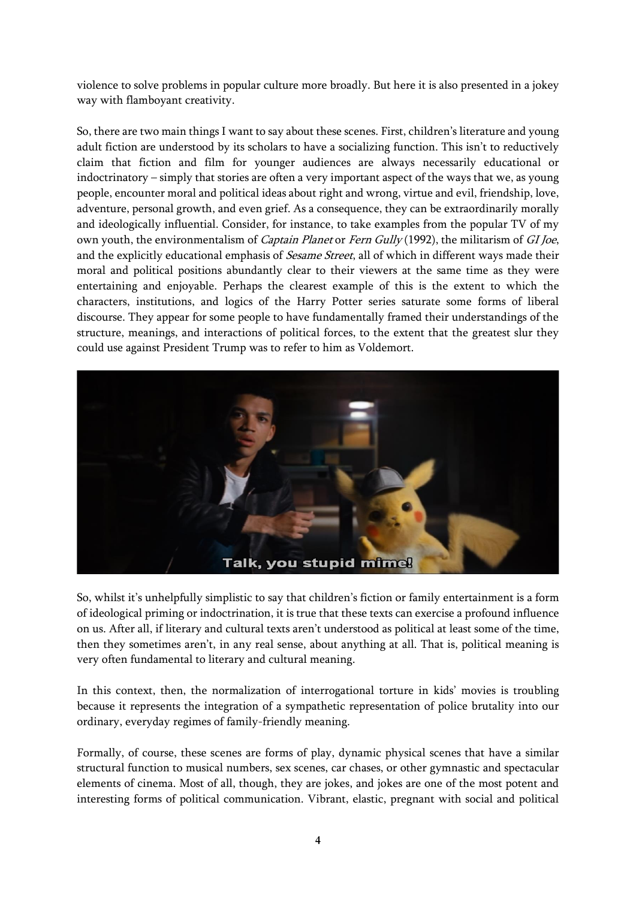violence to solve problems in popular culture more broadly. But here it is also presented in a jokey way with flamboyant creativity.

So, there are two main things I want to say about these scenes. First, children's literature and young adult fiction are understood by its scholars to have a socializing function. This isn't to reductively claim that fiction and film for younger audiences are always necessarily educational or indoctrinatory – simply that stories are often a very important aspect of the ways that we, as young people, encounter moral and political ideas about right and wrong, virtue and evil, friendship, love, adventure, personal growth, and even grief. As a consequence, they can be extraordinarily morally and ideologically influential. Consider, for instance, to take examples from the popular TV of my own youth, the environmentalism of Captain Planet or Fern Gully (1992), the militarism of GI Joe, and the explicitly educational emphasis of *Sesame Street*, all of which in different ways made their moral and political positions abundantly clear to their viewers at the same time as they were entertaining and enjoyable. Perhaps the clearest example of this is the extent to which the characters, institutions, and logics of the Harry Potter series saturate some forms of liberal discourse. They appear for some people to have fundamentally framed their understandings of the structure, meanings, and interactions of political forces, to the extent that the greatest slur they could use against President Trump was to refer to him as Voldemort.



So, whilst it's unhelpfully simplistic to say that children's fiction or family entertainment is a form of ideological priming or indoctrination, it is true that these texts can exercise a profound influence on us. After all, if literary and cultural texts aren't understood as political at least some of the time, then they sometimes aren't, in any real sense, about anything at all. That is, political meaning is very often fundamental to literary and cultural meaning.

In this context, then, the normalization of interrogational torture in kids' movies is troubling because it represents the integration of a sympathetic representation of police brutality into our ordinary, everyday regimes of family-friendly meaning.

Formally, of course, these scenes are forms of play, dynamic physical scenes that have a similar structural function to musical numbers, sex scenes, car chases, or other gymnastic and spectacular elements of cinema. Most of all, though, they are jokes, and jokes are one of the most potent and interesting forms of political communication. Vibrant, elastic, pregnant with social and political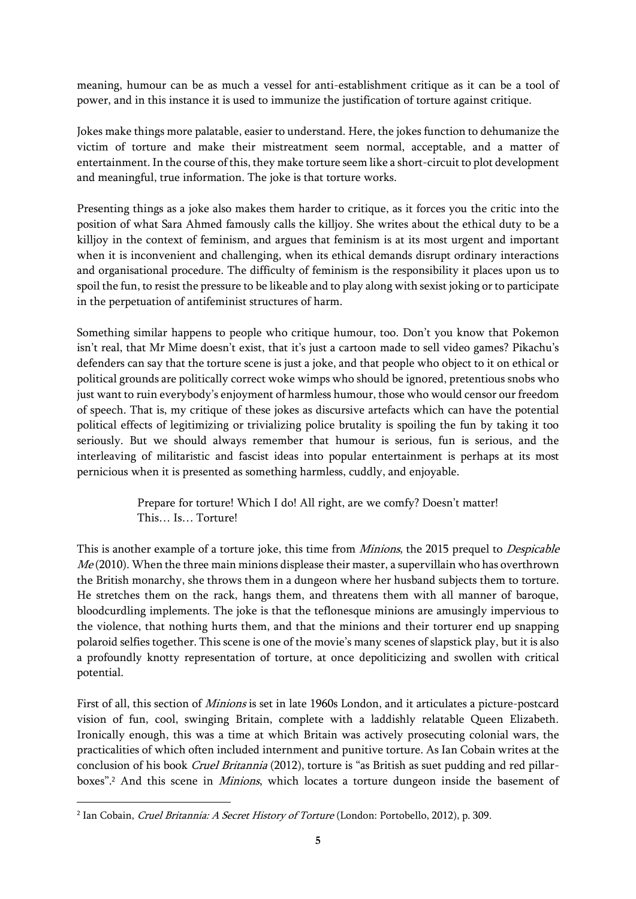meaning, humour can be as much a vessel for anti-establishment critique as it can be a tool of power, and in this instance it is used to immunize the justification of torture against critique.

Jokes make things more palatable, easier to understand. Here, the jokes function to dehumanize the victim of torture and make their mistreatment seem normal, acceptable, and a matter of entertainment. In the course of this, they make torture seem like a short-circuit to plot development and meaningful, true information. The joke is that torture works.

Presenting things as a joke also makes them harder to critique, as it forces you the critic into the position of what Sara Ahmed famously calls the killjoy. She writes about the ethical duty to be a killjoy in the context of feminism, and argues that feminism is at its most urgent and important when it is inconvenient and challenging, when its ethical demands disrupt ordinary interactions and organisational procedure. The difficulty of feminism is the responsibility it places upon us to spoil the fun, to resist the pressure to be likeable and to play along with sexist joking or to participate in the perpetuation of antifeminist structures of harm.

Something similar happens to people who critique humour, too. Don't you know that Pokemon isn't real, that Mr Mime doesn't exist, that it's just a cartoon made to sell video games? Pikachu's defenders can say that the torture scene is just a joke, and that people who object to it on ethical or political grounds are politically correct woke wimps who should be ignored, pretentious snobs who just want to ruin everybody's enjoyment of harmless humour, those who would censor our freedom of speech. That is, my critique of these jokes as discursive artefacts which can have the potential political effects of legitimizing or trivializing police brutality is spoiling the fun by taking it too seriously. But we should always remember that humour is serious, fun is serious, and the interleaving of militaristic and fascist ideas into popular entertainment is perhaps at its most pernicious when it is presented as something harmless, cuddly, and enjoyable.

> Prepare for torture! Which I do! All right, are we comfy? Doesn't matter! This… Is… Torture!

This is another example of a torture joke, this time from *Minions*, the 2015 prequel to *Despicable*  $Me(2010)$ . When the three main minions displease their master, a supervillain who has overthrown the British monarchy, she throws them in a dungeon where her husband subjects them to torture. He stretches them on the rack, hangs them, and threatens them with all manner of baroque, bloodcurdling implements. The joke is that the teflonesque minions are amusingly impervious to the violence, that nothing hurts them, and that the minions and their torturer end up snapping polaroid selfies together. This scene is one of the movie's many scenes of slapstick play, but it is also a profoundly knotty representation of torture, at once depoliticizing and swollen with critical potential.

First of all, this section of Minions is set in late 1960s London, and it articulates a picture-postcard vision of fun, cool, swinging Britain, complete with a laddishly relatable Queen Elizabeth. Ironically enough, this was a time at which Britain was actively prosecuting colonial wars, the practicalities of which often included internment and punitive torture. As Ian Cobain writes at the conclusion of his book *Cruel Britannia* (2012), torture is "as British as suet pudding and red pillarboxes".<sup>2</sup> And this scene in *Minions*, which locates a torture dungeon inside the basement of

<sup>&</sup>lt;sup>2</sup> Ian Cobain, *Cruel Britannia: A Secret History of Torture* (London: Portobello, 2012), p. 309.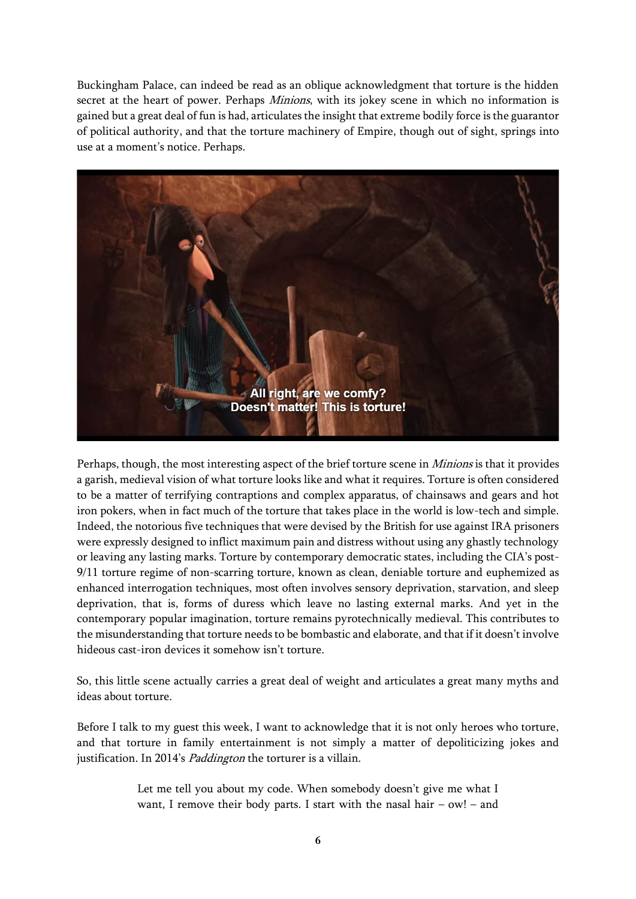Buckingham Palace, can indeed be read as an oblique acknowledgment that torture is the hidden secret at the heart of power. Perhaps *Minions*, with its jokey scene in which no information is gained but a great deal of fun is had, articulates the insight that extreme bodily force is the guarantor of political authority, and that the torture machinery of Empire, though out of sight, springs into use at a moment's notice. Perhaps.



Perhaps, though, the most interesting aspect of the brief torture scene in Minions is that it provides a garish, medieval vision of what torture looks like and what it requires. Torture is often considered to be a matter of terrifying contraptions and complex apparatus, of chainsaws and gears and hot iron pokers, when in fact much of the torture that takes place in the world is low-tech and simple. Indeed, the notorious five techniques that were devised by the British for use against IRA prisoners were expressly designed to inflict maximum pain and distress without using any ghastly technology or leaving any lasting marks. Torture by contemporary democratic states, including the CIA's post-9/11 torture regime of non-scarring torture, known as clean, deniable torture and euphemized as enhanced interrogation techniques, most often involves sensory deprivation, starvation, and sleep deprivation, that is, forms of duress which leave no lasting external marks. And yet in the contemporary popular imagination, torture remains pyrotechnically medieval. This contributes to the misunderstanding that torture needs to be bombastic and elaborate, and that if it doesn't involve hideous cast-iron devices it somehow isn't torture.

So, this little scene actually carries a great deal of weight and articulates a great many myths and ideas about torture.

Before I talk to my guest this week, I want to acknowledge that it is not only heroes who torture, and that torture in family entertainment is not simply a matter of depoliticizing jokes and justification. In 2014's *Paddington* the torturer is a villain.

> Let me tell you about my code. When somebody doesn't give me what I want, I remove their body parts. I start with the nasal hair – ow! – and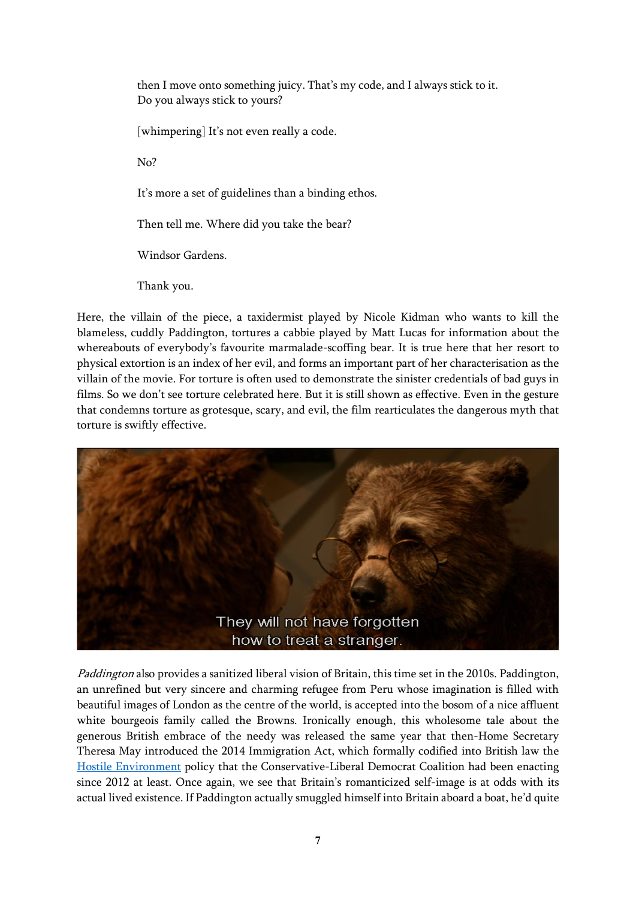then I move onto something juicy. That's my code, and I always stick to it. Do you always stick to yours?

[whimpering] It's not even really a code.

No?

It's more a set of guidelines than a binding ethos.

Then tell me. Where did you take the bear?

Windsor Gardens.

Thank you.

Here, the villain of the piece, a taxidermist played by Nicole Kidman who wants to kill the blameless, cuddly Paddington, tortures a cabbie played by Matt Lucas for information about the whereabouts of everybody's favourite marmalade-scoffing bear. It is true here that her resort to physical extortion is an index of her evil, and forms an important part of her characterisation as the villain of the movie. For torture is often used to demonstrate the sinister credentials of bad guys in films. So we don't see torture celebrated here. But it is still shown as effective. Even in the gesture that condemns torture as grotesque, scary, and evil, the film rearticulates the dangerous myth that torture is swiftly effective.



Paddington also provides a sanitized liberal vision of Britain, this time set in the 2010s. Paddington, an unrefined but very sincere and charming refugee from Peru whose imagination is filled with beautiful images of London as the centre of the world, is accepted into the bosom of a nice affluent white bourgeois family called the Browns. Ironically enough, this wholesome tale about the generous British embrace of the needy was released the same year that then-Home Secretary Theresa May introduced the 2014 Immigration Act, which formally codified into British law the [Hostile Environment](https://www.freemovement.org.uk/briefing-what-is-the-hostile-environment-where-does-it-come-from-who-does-it-affect/) policy that the Conservative-Liberal Democrat Coalition had been enacting since 2012 at least. Once again, we see that Britain's romanticized self-image is at odds with its actual lived existence. If Paddington actually smuggled himself into Britain aboard a boat, he'd quite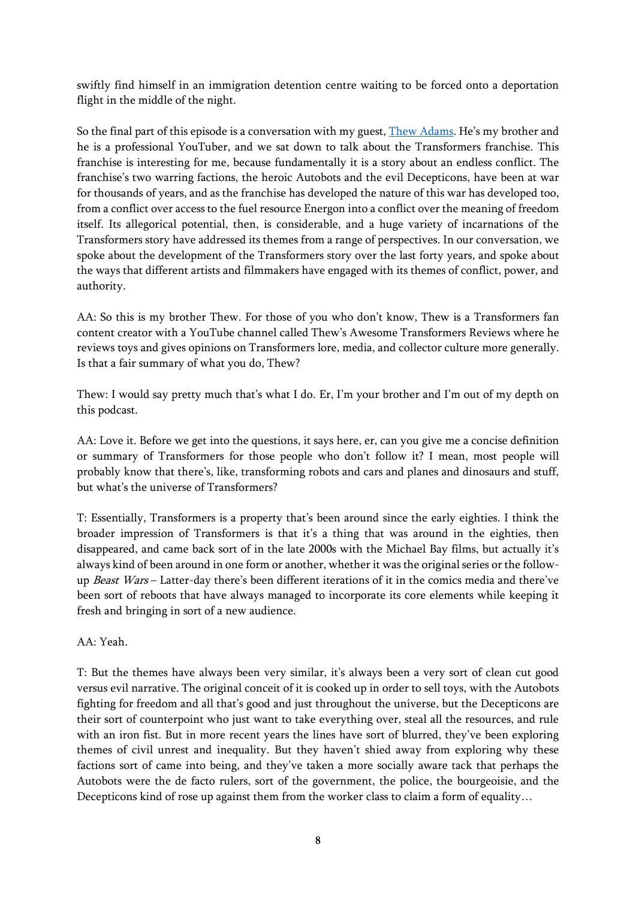swiftly find himself in an immigration detention centre waiting to be forced onto a deportation flight in the middle of the night.

So the final part of this episode is a conversation with my guest, [Thew Adams](https://tvtropes.org/pmwiki/pmwiki.php/WebVideo/ThewsAwesomeTransformersReviews). He's my brother and he is a professional YouTuber, and we sat down to talk about the Transformers franchise. This franchise is interesting for me, because fundamentally it is a story about an endless conflict. The franchise's two warring factions, the heroic Autobots and the evil Decepticons, have been at war for thousands of years, and as the franchise has developed the nature of this war has developed too, from a conflict over access to the fuel resource Energon into a conflict over the meaning of freedom itself. Its allegorical potential, then, is considerable, and a huge variety of incarnations of the Transformers story have addressed its themes from a range of perspectives. In our conversation, we spoke about the development of the Transformers story over the last forty years, and spoke about the ways that different artists and filmmakers have engaged with its themes of conflict, power, and authority.

AA: So this is my brother Thew. For those of you who don't know, Thew is a Transformers fan content creator with a YouTube channel called Thew's Awesome Transformers Reviews where he reviews toys and gives opinions on Transformers lore, media, and collector culture more generally. Is that a fair summary of what you do, Thew?

Thew: I would say pretty much that's what I do. Er, I'm your brother and I'm out of my depth on this podcast.

AA: Love it. Before we get into the questions, it says here, er, can you give me a concise definition or summary of Transformers for those people who don't follow it? I mean, most people will probably know that there's, like, transforming robots and cars and planes and dinosaurs and stuff, but what's the universe of Transformers?

T: Essentially, Transformers is a property that's been around since the early eighties. I think the broader impression of Transformers is that it's a thing that was around in the eighties, then disappeared, and came back sort of in the late 2000s with the Michael Bay films, but actually it's always kind of been around in one form or another, whether it was the original series or the followup Beast Wars – Latter-day there's been different iterations of it in the comics media and there've been sort of reboots that have always managed to incorporate its core elements while keeping it fresh and bringing in sort of a new audience.

AA: Yeah.

T: But the themes have always been very similar, it's always been a very sort of clean cut good versus evil narrative. The original conceit of it is cooked up in order to sell toys, with the Autobots fighting for freedom and all that's good and just throughout the universe, but the Decepticons are their sort of counterpoint who just want to take everything over, steal all the resources, and rule with an iron fist. But in more recent years the lines have sort of blurred, they've been exploring themes of civil unrest and inequality. But they haven't shied away from exploring why these factions sort of came into being, and they've taken a more socially aware tack that perhaps the Autobots were the de facto rulers, sort of the government, the police, the bourgeoisie, and the Decepticons kind of rose up against them from the worker class to claim a form of equality…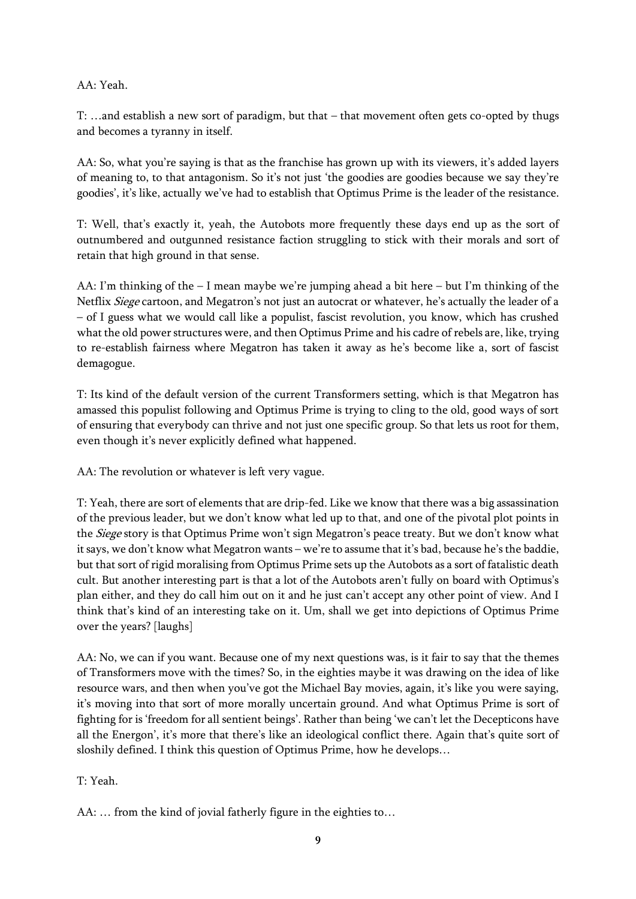## AA: Yeah.

T: …and establish a new sort of paradigm, but that – that movement often gets co-opted by thugs and becomes a tyranny in itself.

AA: So, what you're saying is that as the franchise has grown up with its viewers, it's added layers of meaning to, to that antagonism. So it's not just 'the goodies are goodies because we say they're goodies', it's like, actually we've had to establish that Optimus Prime is the leader of the resistance.

T: Well, that's exactly it, yeah, the Autobots more frequently these days end up as the sort of outnumbered and outgunned resistance faction struggling to stick with their morals and sort of retain that high ground in that sense.

AA: I'm thinking of the – I mean maybe we're jumping ahead a bit here – but I'm thinking of the Netflix *Siege* cartoon, and Megatron's not just an autocrat or whatever, he's actually the leader of a – of I guess what we would call like a populist, fascist revolution, you know, which has crushed what the old power structures were, and then Optimus Prime and his cadre of rebels are, like, trying to re-establish fairness where Megatron has taken it away as he's become like a, sort of fascist demagogue.

T: Its kind of the default version of the current Transformers setting, which is that Megatron has amassed this populist following and Optimus Prime is trying to cling to the old, good ways of sort of ensuring that everybody can thrive and not just one specific group. So that lets us root for them, even though it's never explicitly defined what happened.

AA: The revolution or whatever is left very vague.

T: Yeah, there are sort of elements that are drip-fed. Like we know that there was a big assassination of the previous leader, but we don't know what led up to that, and one of the pivotal plot points in the *Siege* story is that Optimus Prime won't sign Megatron's peace treaty. But we don't know what it says, we don't know what Megatron wants – we're to assume that it's bad, because he's the baddie, but that sort of rigid moralising from Optimus Prime sets up the Autobots as a sort of fatalistic death cult. But another interesting part is that a lot of the Autobots aren't fully on board with Optimus's plan either, and they do call him out on it and he just can't accept any other point of view. And I think that's kind of an interesting take on it. Um, shall we get into depictions of Optimus Prime over the years? [laughs]

AA: No, we can if you want. Because one of my next questions was, is it fair to say that the themes of Transformers move with the times? So, in the eighties maybe it was drawing on the idea of like resource wars, and then when you've got the Michael Bay movies, again, it's like you were saying, it's moving into that sort of more morally uncertain ground. And what Optimus Prime is sort of fighting for is 'freedom for all sentient beings'. Rather than being 'we can't let the Decepticons have all the Energon', it's more that there's like an ideological conflict there. Again that's quite sort of sloshily defined. I think this question of Optimus Prime, how he develops…

## T: Yeah.

AA: … from the kind of jovial fatherly figure in the eighties to…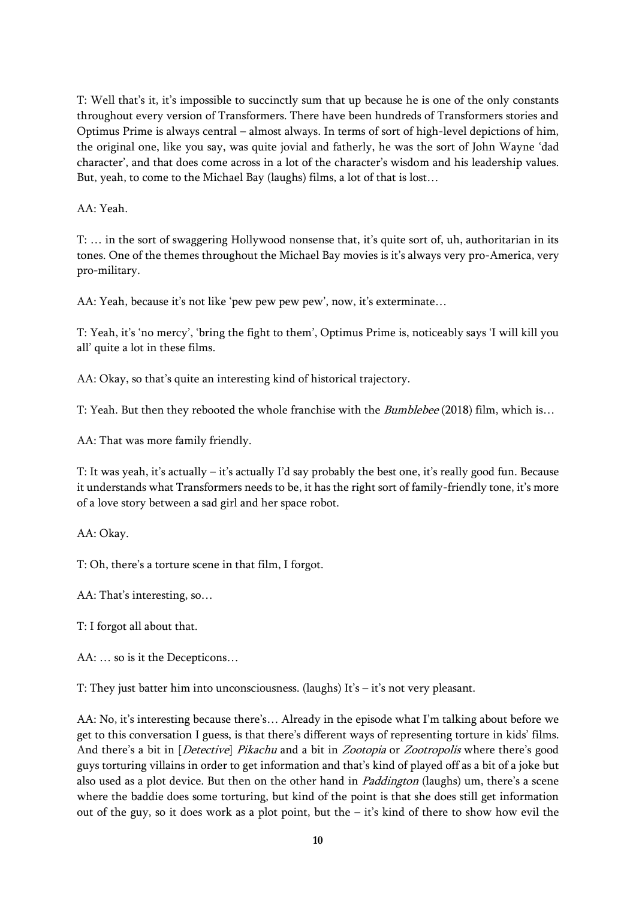T: Well that's it, it's impossible to succinctly sum that up because he is one of the only constants throughout every version of Transformers. There have been hundreds of Transformers stories and Optimus Prime is always central – almost always. In terms of sort of high-level depictions of him, the original one, like you say, was quite jovial and fatherly, he was the sort of John Wayne 'dad character', and that does come across in a lot of the character's wisdom and his leadership values. But, yeah, to come to the Michael Bay (laughs) films, a lot of that is lost…

AA: Yeah.

T: … in the sort of swaggering Hollywood nonsense that, it's quite sort of, uh, authoritarian in its tones. One of the themes throughout the Michael Bay movies is it's always very pro-America, very pro-military.

AA: Yeah, because it's not like 'pew pew pew pew', now, it's exterminate…

T: Yeah, it's 'no mercy', 'bring the fight to them', Optimus Prime is, noticeably says 'I will kill you all' quite a lot in these films.

AA: Okay, so that's quite an interesting kind of historical trajectory.

T: Yeah. But then they rebooted the whole franchise with the *Bumblebee* (2018) film, which is...

AA: That was more family friendly.

T: It was yeah, it's actually – it's actually I'd say probably the best one, it's really good fun. Because it understands what Transformers needs to be, it has the right sort of family-friendly tone, it's more of a love story between a sad girl and her space robot.

AA: Okay.

T: Oh, there's a torture scene in that film, I forgot.

AA: That's interesting, so…

T: I forgot all about that.

AA: … so is it the Decepticons…

T: They just batter him into unconsciousness. (laughs) It's – it's not very pleasant.

AA: No, it's interesting because there's… Already in the episode what I'm talking about before we get to this conversation I guess, is that there's different ways of representing torture in kids' films. And there's a bit in [*Detective*] Pikachu and a bit in Zootopia or Zootropolis where there's good guys torturing villains in order to get information and that's kind of played off as a bit of a joke but also used as a plot device. But then on the other hand in *Paddington* (laughs) um, there's a scene where the baddie does some torturing, but kind of the point is that she does still get information out of the guy, so it does work as a plot point, but the  $-$  it's kind of there to show how evil the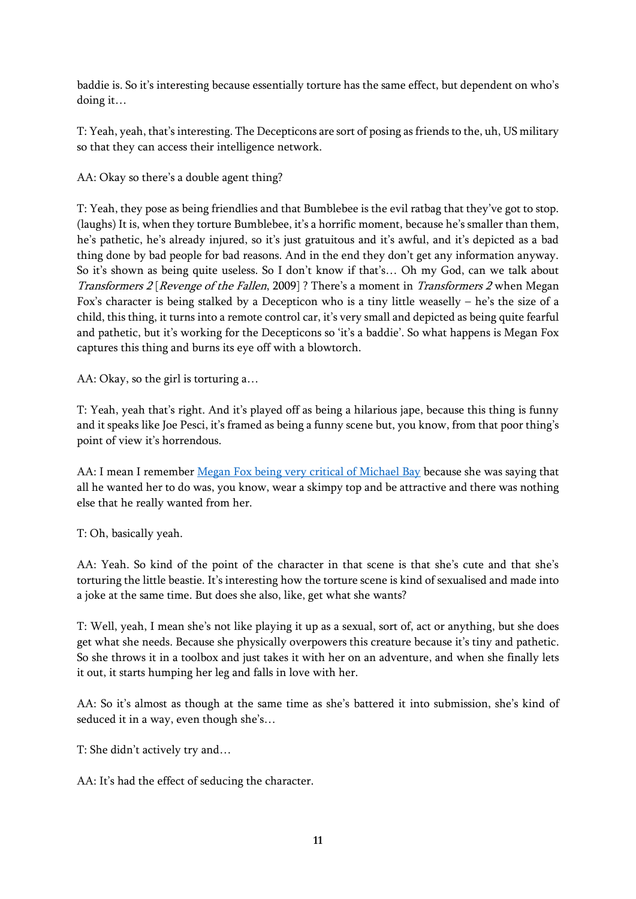baddie is. So it's interesting because essentially torture has the same effect, but dependent on who's doing it…

T: Yeah, yeah, that's interesting. The Decepticons are sort of posing as friends to the, uh, US military so that they can access their intelligence network.

AA: Okay so there's a double agent thing?

T: Yeah, they pose as being friendlies and that Bumblebee is the evil ratbag that they've got to stop. (laughs) It is, when they torture Bumblebee, it's a horrific moment, because he's smaller than them, he's pathetic, he's already injured, so it's just gratuitous and it's awful, and it's depicted as a bad thing done by bad people for bad reasons. And in the end they don't get any information anyway. So it's shown as being quite useless. So I don't know if that's… Oh my God, can we talk about Transformers 2 [Revenge of the Fallen, 2009] ? There's a moment in *Transformers 2* when Megan Fox's character is being stalked by a Decepticon who is a tiny little weaselly – he's the size of a child, this thing, it turns into a remote control car, it's very small and depicted as being quite fearful and pathetic, but it's working for the Decepticons so 'it's a baddie'. So what happens is Megan Fox captures this thing and burns its eye off with a blowtorch.

AA: Okay, so the girl is torturing a…

T: Yeah, yeah that's right. And it's played off as being a hilarious jape, because this thing is funny and it speaks like Joe Pesci, it's framed as being a funny scene but, you know, from that poor thing's point of view it's horrendous.

AA: I mean I remember [Megan Fox being very critical of Michael Bay](https://www.thecut.com/2020/06/what-happened-to-megan-fox-from-michael-bay-to-jimmy-kimmel.html) because she was saying that all he wanted her to do was, you know, wear a skimpy top and be attractive and there was nothing else that he really wanted from her.

T: Oh, basically yeah.

AA: Yeah. So kind of the point of the character in that scene is that she's cute and that she's torturing the little beastie. It's interesting how the torture scene is kind of sexualised and made into a joke at the same time. But does she also, like, get what she wants?

T: Well, yeah, I mean she's not like playing it up as a sexual, sort of, act or anything, but she does get what she needs. Because she physically overpowers this creature because it's tiny and pathetic. So she throws it in a toolbox and just takes it with her on an adventure, and when she finally lets it out, it starts humping her leg and falls in love with her.

AA: So it's almost as though at the same time as she's battered it into submission, she's kind of seduced it in a way, even though she's…

T: She didn't actively try and…

AA: It's had the effect of seducing the character.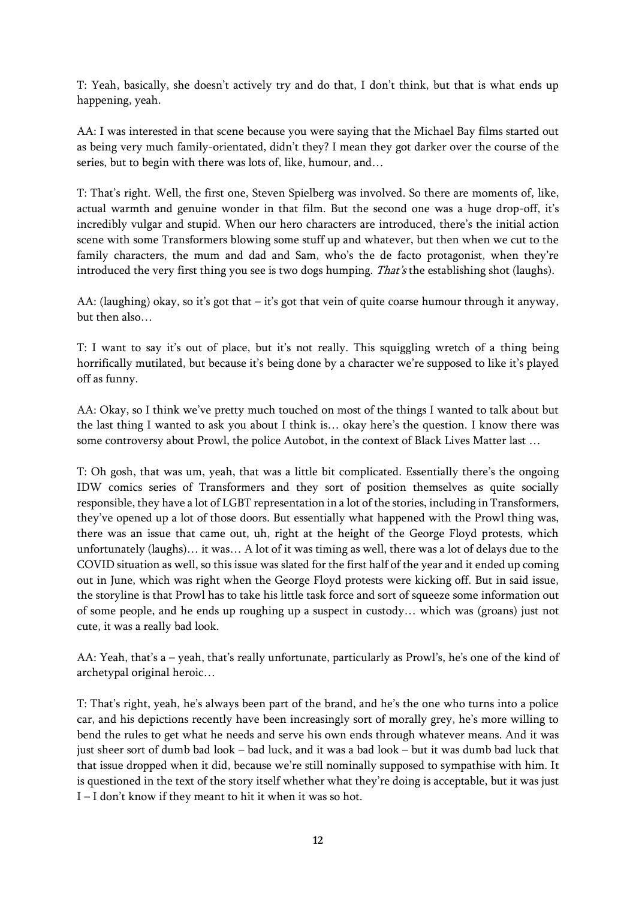T: Yeah, basically, she doesn't actively try and do that, I don't think, but that is what ends up happening, yeah.

AA: I was interested in that scene because you were saying that the Michael Bay films started out as being very much family-orientated, didn't they? I mean they got darker over the course of the series, but to begin with there was lots of, like, humour, and…

T: That's right. Well, the first one, Steven Spielberg was involved. So there are moments of, like, actual warmth and genuine wonder in that film. But the second one was a huge drop-off, it's incredibly vulgar and stupid. When our hero characters are introduced, there's the initial action scene with some Transformers blowing some stuff up and whatever, but then when we cut to the family characters, the mum and dad and Sam, who's the de facto protagonist, when they're introduced the very first thing you see is two dogs humping. That's the establishing shot (laughs).

AA: (laughing) okay, so it's got that – it's got that vein of quite coarse humour through it anyway, but then also…

T: I want to say it's out of place, but it's not really. This squiggling wretch of a thing being horrifically mutilated, but because it's being done by a character we're supposed to like it's played off as funny.

AA: Okay, so I think we've pretty much touched on most of the things I wanted to talk about but the last thing I wanted to ask you about I think is… okay here's the question. I know there was some controversy about Prowl, the police Autobot, in the context of Black Lives Matter last …

T: Oh gosh, that was um, yeah, that was a little bit complicated. Essentially there's the ongoing IDW comics series of Transformers and they sort of position themselves as quite socially responsible, they have a lot of LGBT representation in a lot of the stories, including in Transformers, they've opened up a lot of those doors. But essentially what happened with the Prowl thing was, there was an issue that came out, uh, right at the height of the George Floyd protests, which unfortunately (laughs)… it was… A lot of it was timing as well, there was a lot of delays due to the COVID situation as well, so this issue was slated for the first half of the year and it ended up coming out in June, which was right when the George Floyd protests were kicking off. But in said issue, the storyline is that Prowl has to take his little task force and sort of squeeze some information out of some people, and he ends up roughing up a suspect in custody… which was (groans) just not cute, it was a really bad look.

AA: Yeah, that's a – yeah, that's really unfortunate, particularly as Prowl's, he's one of the kind of archetypal original heroic…

T: That's right, yeah, he's always been part of the brand, and he's the one who turns into a police car, and his depictions recently have been increasingly sort of morally grey, he's more willing to bend the rules to get what he needs and serve his own ends through whatever means. And it was just sheer sort of dumb bad look – bad luck, and it was a bad look – but it was dumb bad luck that that issue dropped when it did, because we're still nominally supposed to sympathise with him. It is questioned in the text of the story itself whether what they're doing is acceptable, but it was just I – I don't know if they meant to hit it when it was so hot.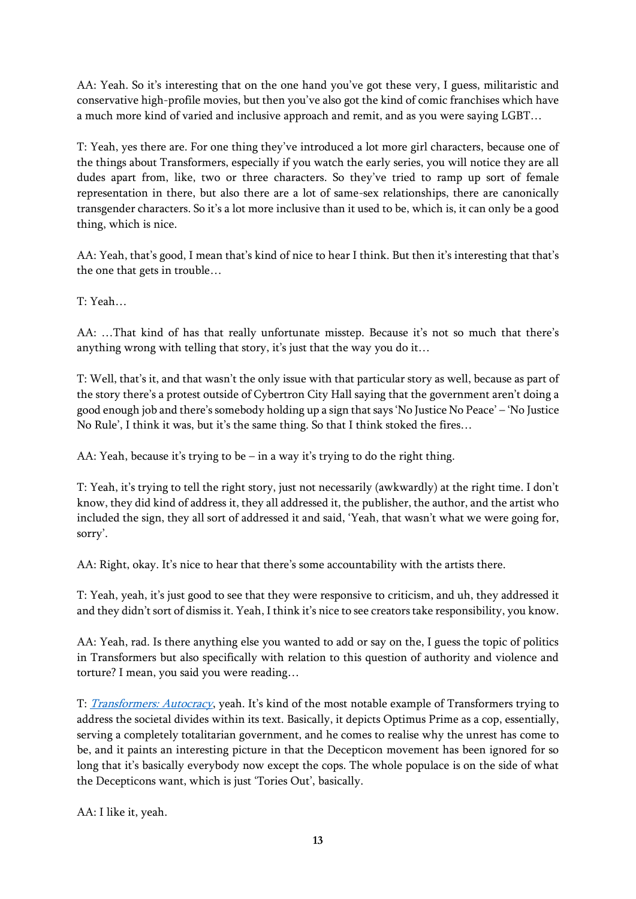AA: Yeah. So it's interesting that on the one hand you've got these very, I guess, militaristic and conservative high-profile movies, but then you've also got the kind of comic franchises which have a much more kind of varied and inclusive approach and remit, and as you were saying LGBT…

T: Yeah, yes there are. For one thing they've introduced a lot more girl characters, because one of the things about Transformers, especially if you watch the early series, you will notice they are all dudes apart from, like, two or three characters. So they've tried to ramp up sort of female representation in there, but also there are a lot of same-sex relationships, there are canonically transgender characters. So it's a lot more inclusive than it used to be, which is, it can only be a good thing, which is nice.

AA: Yeah, that's good, I mean that's kind of nice to hear I think. But then it's interesting that that's the one that gets in trouble…

T: Yeah…

AA: …That kind of has that really unfortunate misstep. Because it's not so much that there's anything wrong with telling that story, it's just that the way you do it…

T: Well, that's it, and that wasn't the only issue with that particular story as well, because as part of the story there's a protest outside of Cybertron City Hall saying that the government aren't doing a good enough job and there's somebody holding up a sign that says 'No Justice No Peace' – 'No Justice No Rule', I think it was, but it's the same thing. So that I think stoked the fires…

AA: Yeah, because it's trying to be – in a way it's trying to do the right thing.

T: Yeah, it's trying to tell the right story, just not necessarily (awkwardly) at the right time. I don't know, they did kind of address it, they all addressed it, the publisher, the author, and the artist who included the sign, they all sort of addressed it and said, 'Yeah, that wasn't what we were going for, sorry'.

AA: Right, okay. It's nice to hear that there's some accountability with the artists there.

T: Yeah, yeah, it's just good to see that they were responsive to criticism, and uh, they addressed it and they didn't sort of dismiss it. Yeah, I think it's nice to see creators take responsibility, you know.

AA: Yeah, rad. Is there anything else you wanted to add or say on the, I guess the topic of politics in Transformers but also specifically with relation to this question of authority and violence and torture? I mean, you said you were reading…

T: [Transformers: Autocracy](https://www.idwpublishing.com/product/transformers-autocracy-trilogy/), yeah. It's kind of the most notable example of Transformers trying to address the societal divides within its text. Basically, it depicts Optimus Prime as a cop, essentially, serving a completely totalitarian government, and he comes to realise why the unrest has come to be, and it paints an interesting picture in that the Decepticon movement has been ignored for so long that it's basically everybody now except the cops. The whole populace is on the side of what the Decepticons want, which is just 'Tories Out', basically.

AA: I like it, yeah.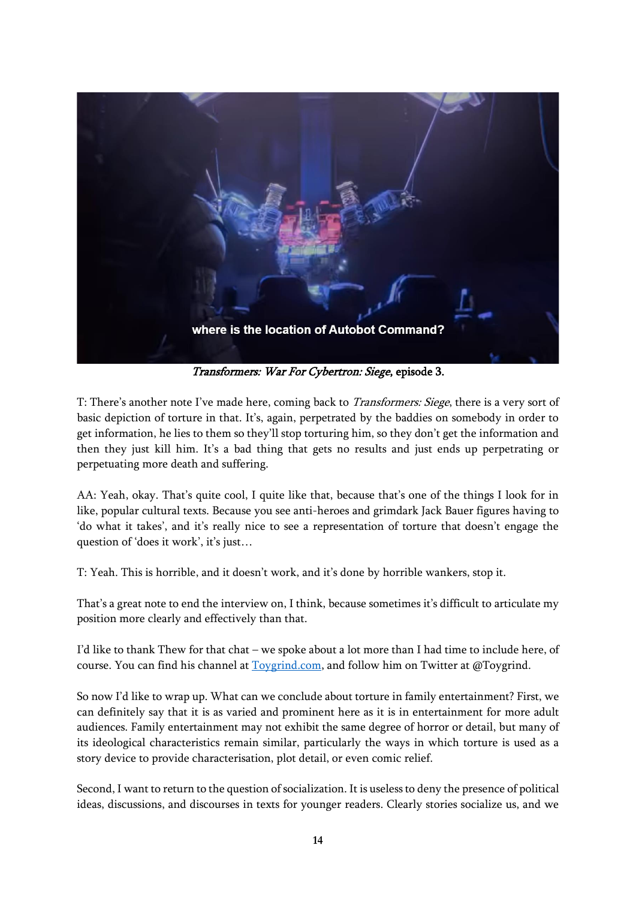

Transformers: War For Cybertron: Siege, episode 3.

T: There's another note I've made here, coming back to *Transformers: Siege*, there is a very sort of basic depiction of torture in that. It's, again, perpetrated by the baddies on somebody in order to get information, he lies to them so they'll stop torturing him, so they don't get the information and then they just kill him. It's a bad thing that gets no results and just ends up perpetrating or perpetuating more death and suffering.

AA: Yeah, okay. That's quite cool, I quite like that, because that's one of the things I look for in like, popular cultural texts. Because you see anti-heroes and grimdark Jack Bauer figures having to 'do what it takes', and it's really nice to see a representation of torture that doesn't engage the question of 'does it work', it's just…

T: Yeah. This is horrible, and it doesn't work, and it's done by horrible wankers, stop it.

That's a great note to end the interview on, I think, because sometimes it's difficult to articulate my position more clearly and effectively than that.

I'd like to thank Thew for that chat – we spoke about a lot more than I had time to include here, of course. You can find his channel at [Toygrind.com,](file:///C:/Users/user/OneDrive/Documents/repeater%20radio/kids%20movies/toygrind.com) and follow him on Twitter at @Toygrind.

So now I'd like to wrap up. What can we conclude about torture in family entertainment? First, we can definitely say that it is as varied and prominent here as it is in entertainment for more adult audiences. Family entertainment may not exhibit the same degree of horror or detail, but many of its ideological characteristics remain similar, particularly the ways in which torture is used as a story device to provide characterisation, plot detail, or even comic relief.

Second, I want to return to the question of socialization. It is useless to deny the presence of political ideas, discussions, and discourses in texts for younger readers. Clearly stories socialize us, and we